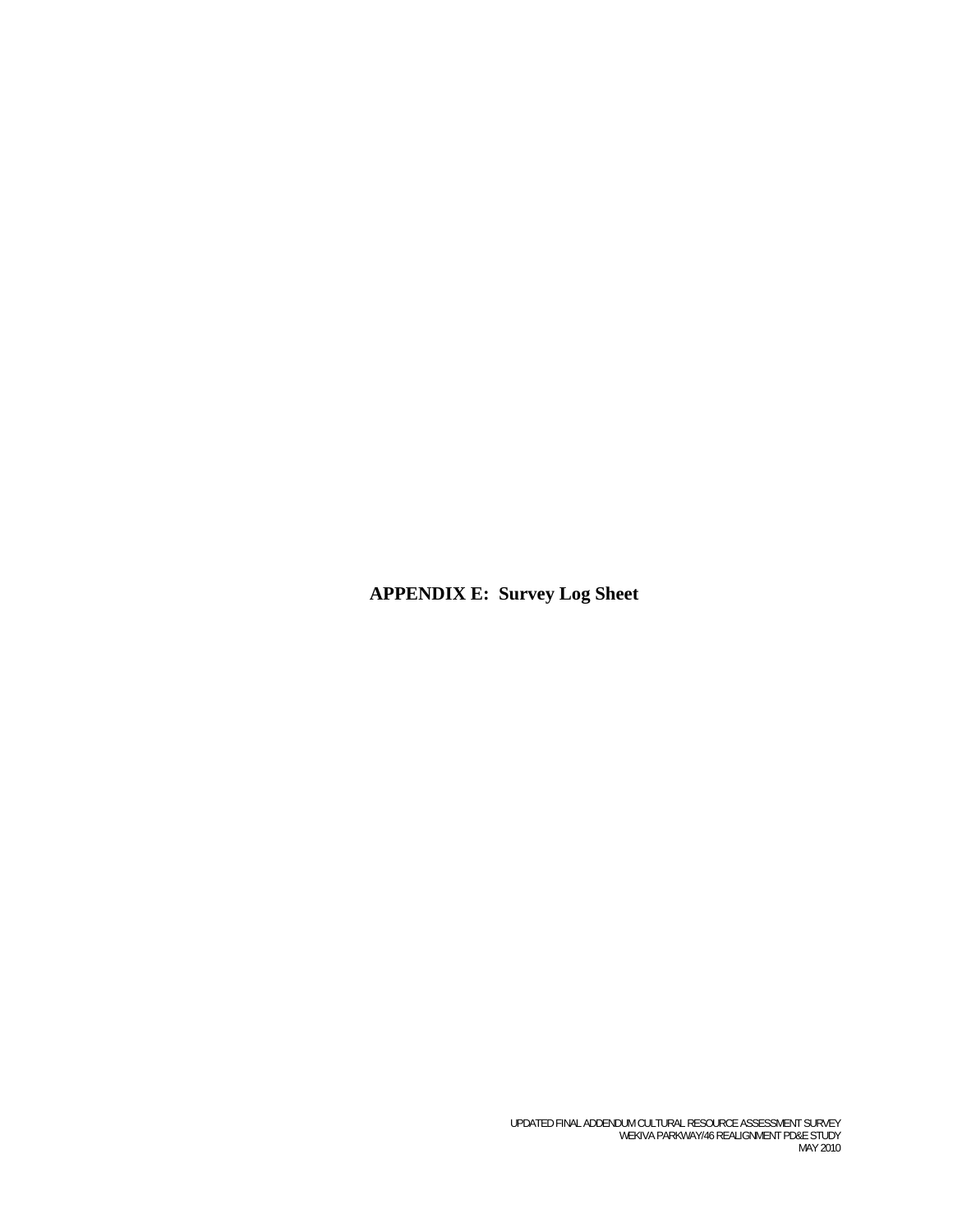**APPENDIX E: Survey Log Sheet**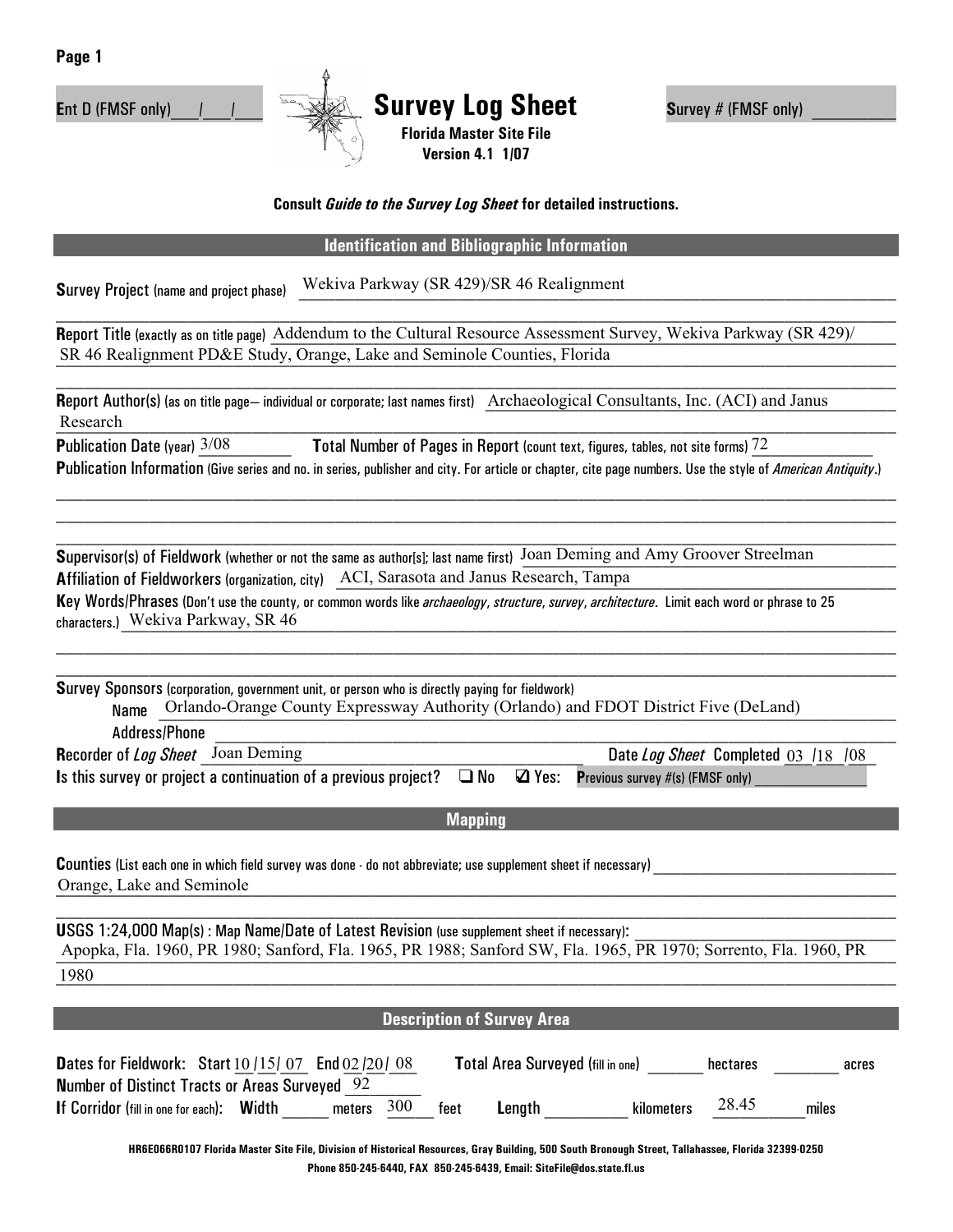



Ent D (FMSF only) | | | **Survey Log Sheet** Survey # (FMSF only) **Florida Master Site File** 

## **Consult** *Guide to the Survey Log Sheet* **for detailed instructions.**

**Version 4.1 1/07** 

## **Identification and Bibliographic Information**

**Survey Project** (name and project phase) Wekiva Parkway (SR 429)/SR 46 Realignment

Report Title (exactly as on title page) Addendum to the Cultural Resource Assessment Survey, Wekiva Parkway (SR 429)/ SR 46 Realignment PD&E Study, Orange, Lake and Seminole Counties, Florida

Report Author(s) (as on title page—individual or corporate; last names first) Archaeological Consultants, Inc. (ACI) and Janus  $\textbf{Research}$ Research

**Publication Date (year)**  $\frac{3}{08}$  **<b>Total Number of Pages in Report** (count text, figures, tables, not site forms)  $\frac{72}{2}$ **<sup>P</sup>**ublication Information (Give series and no. in series, publisher and city. For article or chapter, cite page numbers. Use the style of *American Antiquity*.)

 $\mathcal{L}_\mathcal{L} = \mathcal{L}_\mathcal{L} = \mathcal{L}_\mathcal{L} = \mathcal{L}_\mathcal{L} = \mathcal{L}_\mathcal{L} = \mathcal{L}_\mathcal{L} = \mathcal{L}_\mathcal{L} = \mathcal{L}_\mathcal{L} = \mathcal{L}_\mathcal{L} = \mathcal{L}_\mathcal{L} = \mathcal{L}_\mathcal{L} = \mathcal{L}_\mathcal{L} = \mathcal{L}_\mathcal{L} = \mathcal{L}_\mathcal{L} = \mathcal{L}_\mathcal{L} = \mathcal{L}_\mathcal{L} = \mathcal{L}_\mathcal{L}$  $\mathcal{L}_\mathcal{L} = \mathcal{L}_\mathcal{L} = \mathcal{L}_\mathcal{L} = \mathcal{L}_\mathcal{L} = \mathcal{L}_\mathcal{L} = \mathcal{L}_\mathcal{L} = \mathcal{L}_\mathcal{L} = \mathcal{L}_\mathcal{L} = \mathcal{L}_\mathcal{L} = \mathcal{L}_\mathcal{L} = \mathcal{L}_\mathcal{L} = \mathcal{L}_\mathcal{L} = \mathcal{L}_\mathcal{L} = \mathcal{L}_\mathcal{L} = \mathcal{L}_\mathcal{L} = \mathcal{L}_\mathcal{L} = \mathcal{L}_\mathcal{L}$  $\_$  , and the set of the set of the set of the set of the set of the set of the set of the set of the set of the set of the set of the set of the set of the set of the set of the set of the set of the set of the set of th

Supervisor(s) of Fieldwork (whether or not the same as author[s]; last name first) Joan Deming and Amy Groover Streelman **Affiliation of Fieldworkers (organization, city) ACI, Sarasota and Janus Research, Tampa** 

**<sup>K</sup>**ey Words/Phrases (Don't use the county, or common words like *archaeology*, *structure*, *survey*, *architecture*. Limit each word or phrase to 25 characters.) Wekiva Parkway, SR 46

**S**urvey Sponsors (corporation, government unit, or person who is directly paying for fieldwork) Name Orlando-Orange County Expressway Authority (Orlando) and FDOT District Five (DeLand)  $\operatorname{\sf Address/Phone}$ 

| <b>Recorder of Log Sheet</b> Joan Deming                                                                               |  | Date Log Sheet Completed 03 /18 /08 |
|------------------------------------------------------------------------------------------------------------------------|--|-------------------------------------|
| Is this survey or project a continuation of a previous project? $\Box$ No $\Box$ Yes: Previous survey #(s) (FMSF only) |  |                                     |

**Mapping**

Counties (List each one in which field survey was done - do not abbreviate; use supplement sheet if necessary) Orange, Lake and Seminole

**USGS 1:24,000 Map(s): Map Name/Date of Latest Revision (use supplement sheet if necessary):** \_\_\_\_\_\_\_\_\_\_\_\_\_\_\_\_\_\_\_\_\_\_\_\_\_\_\_\_\_\_\_\_\_\_\_\_\_\_\_\_\_\_\_\_\_\_\_\_\_\_\_\_\_\_\_\_\_\_\_\_\_\_\_\_\_\_\_\_\_\_\_\_\_\_\_\_\_\_\_\_\_\_\_\_\_\_\_\_\_\_ Apopka, Fla. 1960, PR 1980; Sanford, Fla. 1965, PR 1988; Sanford SW, Fla. 1965, PR 1970; Sorrento, Fla. 1960, PR \_\_\_\_\_\_\_\_\_\_\_\_\_\_\_\_\_\_\_\_\_\_\_\_\_\_\_\_\_\_\_\_\_\_\_\_\_\_\_\_\_\_\_\_\_\_\_\_\_\_\_\_\_\_\_\_\_\_\_\_\_\_\_\_\_\_\_\_\_\_\_\_\_\_\_\_\_\_\_\_\_\_\_\_\_\_\_\_\_\_ 1980

| <b>Description of Survey Area</b>                                                                                                                  |                                          |                   |  |  |
|----------------------------------------------------------------------------------------------------------------------------------------------------|------------------------------------------|-------------------|--|--|
| <b>Dates for Fieldwork:</b> Start $10/15/07$ End $02/20/08$                                                                                        | <b>Total Area Surveyed (fill in one)</b> | hectares<br>acres |  |  |
| <b>Number of Distinct Tracts or Areas Surveyed</b> 92<br>300<br>If Corridor (fill in one for each): Width<br>meters                                | feet<br>Length<br>kilometers             | 28.45<br>miles    |  |  |
| HR6E066R0107 Florida Master Site File, Division of Historical Resources, Gray Building, 500 South Bronough Street, Tallahassee, Florida 32399.0250 |                                          |                   |  |  |

**Phone 850-245-6440, FAX 850-245-6439, Email: SiteFile@dos.state.fl.us**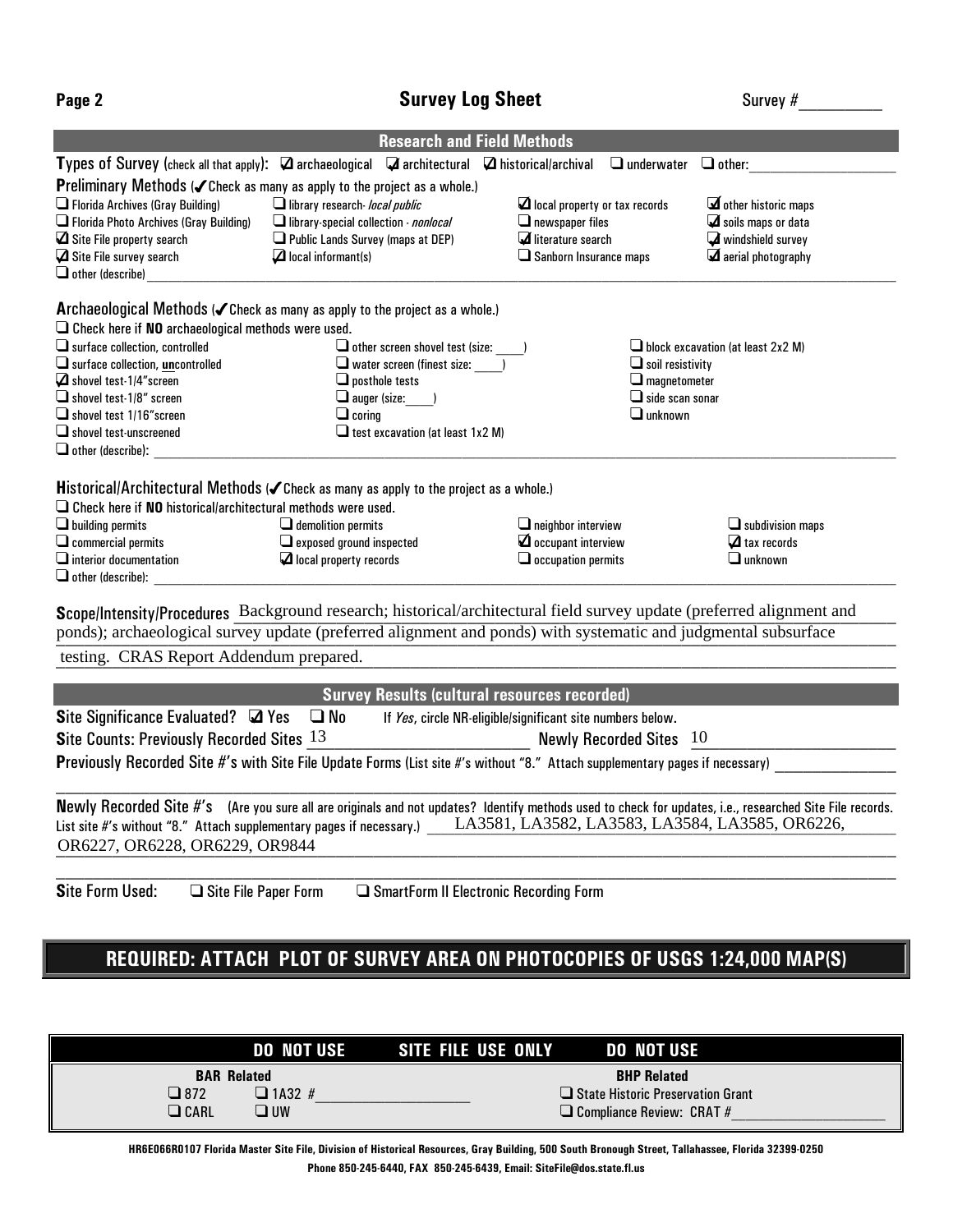|--|--|

## **Page 2 Survey Log Sheet Algebra 2 Survey #**

|                                                                        | <b>Research and Field Methods</b>                                                                                                                        |                                                            |                                                       |
|------------------------------------------------------------------------|----------------------------------------------------------------------------------------------------------------------------------------------------------|------------------------------------------------------------|-------------------------------------------------------|
|                                                                        | Types of Survey (check all that apply): $\Box$ archaeological $\Box$ architectural $\Box$ historical/archival                                            | $\Box$ underwater                                          | $\Box$ other:                                         |
|                                                                        | <b>Preliminary Methods (<math>\checkmark</math> Check as many as apply to the project as a whole.)</b>                                                   |                                                            |                                                       |
| $\Box$ Florida Archives (Gray Building)                                | $\Box$ library research- local public                                                                                                                    | $\Box$ local property or tax records                       | $\mathbf \Xi$ other historic maps                     |
| Florida Photo Archives (Gray Building)                                 | $\Box$ library-special collection - <i>nonlocal</i>                                                                                                      | $\Box$ newspaper files                                     | $\mathbf \mathbf \mathbf \mathbf $ soils maps or data |
| $\Box$ Site File property search                                       | $\Box$ Public Lands Survey (maps at DEP)                                                                                                                 | literature search                                          | windshield survey                                     |
| $\Box$ Site File survey search                                         | $\Box$ local informant(s)                                                                                                                                | $\square$ Sanborn Insurance maps                           | $\mathbf \Xi$ aerial photography                      |
| $\Box$ other (describe)                                                |                                                                                                                                                          |                                                            |                                                       |
|                                                                        | Archaeological Methods ( <i>C</i> Check as many as apply to the project as a whole.)                                                                     |                                                            |                                                       |
| $\Box$ Check here if NO archaeological methods were used.              |                                                                                                                                                          |                                                            |                                                       |
| $\Box$ surface collection, controlled                                  | $\Box$ other screen shovel test (size:                                                                                                                   |                                                            | $\Box$ block excavation (at least 2x2 M)              |
| $\Box$ surface collection, uncontrolled                                | $\Box$ water screen (finest size: )                                                                                                                      | $\Box$ soil resistivity                                    |                                                       |
| $\Box$ shovel test-1/4" screen                                         | $\Box$ posthole tests                                                                                                                                    | $\Box$ magnetometer                                        |                                                       |
| $\Box$ shovel test-1/8" screen                                         | $\Box$ auger (size:                                                                                                                                      | $\square$ side scan sonar                                  |                                                       |
| $\Box$ shovel test 1/16" screen                                        | $\Box$ coring                                                                                                                                            | $\Box$ unknown                                             |                                                       |
| $\Box$ shovel test-unscreened                                          | $\Box$ test excavation (at least 1x2 M)                                                                                                                  |                                                            |                                                       |
| $\Box$ other (describe):                                               |                                                                                                                                                          |                                                            |                                                       |
|                                                                        | Historical/Architectural Methods ( <i>Check as many as apply to the project as a whole.</i> )                                                            |                                                            |                                                       |
| $\square$ Check here if NO historical/architectural methods were used. |                                                                                                                                                          |                                                            |                                                       |
| $\Box$ building permits                                                | $\Box$ demolition permits                                                                                                                                | $\Box$ neighbor interview                                  | $\Box$ subdivision maps                               |
| $\square$ commercial permits                                           | $\Box$ exposed ground inspected                                                                                                                          |                                                            | $\Delta$ tax records                                  |
| $\Box$ interior documentation                                          | $\Box$ local property records                                                                                                                            | $\Box$ occupation permits                                  | $\Box$ unknown                                        |
| $\Box$ other (describe):                                               |                                                                                                                                                          |                                                            |                                                       |
|                                                                        | Scope/Intensity/Procedures Background research; historical/architectural field survey update (preferred alignment and                                    |                                                            |                                                       |
|                                                                        | ponds); archaeological survey update (preferred alignment and ponds) with systematic and judgmental subsurface                                           |                                                            |                                                       |
| testing. CRAS Report Addendum prepared.                                |                                                                                                                                                          |                                                            |                                                       |
|                                                                        |                                                                                                                                                          |                                                            |                                                       |
|                                                                        | <b>Survey Results (cultural resources recorded)</b>                                                                                                      |                                                            |                                                       |
| Site Significance Evaluated? 4 Yes                                     | $\square$ No                                                                                                                                             | If Yes, circle NR-eligible/significant site numbers below. |                                                       |
| Site Counts: Previously Recorded Sites 13                              |                                                                                                                                                          | Newly Recorded Sites 10                                    |                                                       |
|                                                                        | Previously Recorded Site #'s with Site File Update Forms (List site #'s without "8." Attach supplementary pages if necessary)                            |                                                            |                                                       |
|                                                                        |                                                                                                                                                          |                                                            |                                                       |
|                                                                        | Newly Recorded Site #'s (Are you sure all are originals and not updates? Identify methods used to check for updates, i.e., researched Site File records. |                                                            |                                                       |
| List site #'s without "8." Attach supplementary pages if necessary.)   |                                                                                                                                                          | LA3581, LA3582, LA3583, LA3584, LA3585, OR6226,            |                                                       |
| OR6227, OR6228, OR6229, OR9844                                         |                                                                                                                                                          |                                                            |                                                       |
|                                                                        |                                                                                                                                                          |                                                            |                                                       |
| <b>Site Form Used:</b><br>$\Box$ Site File Paper Form                  | $\Box$ SmartForm II Electronic Recording Form                                                                                                            |                                                            |                                                       |
|                                                                        |                                                                                                                                                          |                                                            |                                                       |

## **REQUIRED: ATTACH PLOT OF SURVEY AREA ON PHOTOCOPIES OF USGS 1:24,000 MAP(S)**

| DO NOT USE                                                                        | $\blacksquare$ SITE FILE USE ONLY $\blacksquare$ do not use $\blacksquare$                    |
|-----------------------------------------------------------------------------------|-----------------------------------------------------------------------------------------------|
| <b>BAR Related</b><br>$\Box$ 1A32 #<br>$\square$ 872<br>$\Box$ CARL<br><b>MOL</b> | <b>BHP Related</b><br>□ State Historic Preservation Grant<br>$\Box$ Compliance Review: CRAT # |

**HR6E066R0107 Florida Master Site File, Division of Historical Resources, Gray Building, 500 South Bronough Street, Tallahassee, Florida 32399-0250 Phone 850-245-6440, FAX 850-245-6439, Email: SiteFile@dos.state.fl.us**